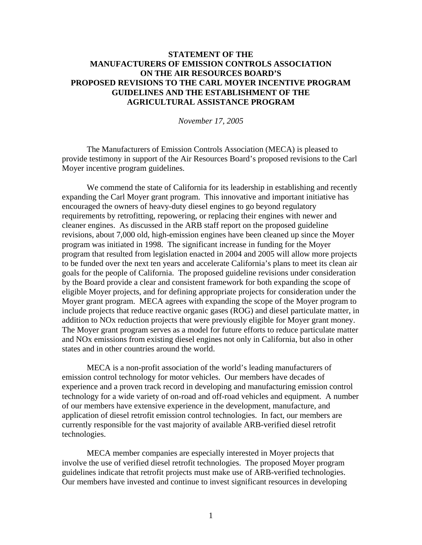## **STATEMENT OF THE MANUFACTURERS OF EMISSION CONTROLS ASSOCIATION ON THE AIR RESOURCES BOARD'S PROPOSED REVISIONS TO THE CARL MOYER INCENTIVE PROGRAM GUIDELINES AND THE ESTABLISHMENT OF THE AGRICULTURAL ASSISTANCE PROGRAM**

*November 17, 2005* 

 The Manufacturers of Emission Controls Association (MECA) is pleased to provide testimony in support of the Air Resources Board's proposed revisions to the Carl Moyer incentive program guidelines.

We commend the state of California for its leadership in establishing and recently expanding the Carl Moyer grant program. This innovative and important initiative has encouraged the owners of heavy-duty diesel engines to go beyond regulatory requirements by retrofitting, repowering, or replacing their engines with newer and cleaner engines. As discussed in the ARB staff report on the proposed guideline revisions, about 7,000 old, high-emission engines have been cleaned up since the Moyer program was initiated in 1998. The significant increase in funding for the Moyer program that resulted from legislation enacted in 2004 and 2005 will allow more projects to be funded over the next ten years and accelerate California's plans to meet its clean air goals for the people of California. The proposed guideline revisions under consideration by the Board provide a clear and consistent framework for both expanding the scope of eligible Moyer projects, and for defining appropriate projects for consideration under the Moyer grant program. MECA agrees with expanding the scope of the Moyer program to include projects that reduce reactive organic gases (ROG) and diesel particulate matter, in addition to NOx reduction projects that were previously eligible for Moyer grant money. The Moyer grant program serves as a model for future efforts to reduce particulate matter and NOx emissions from existing diesel engines not only in California, but also in other states and in other countries around the world.

MECA is a non-profit association of the world's leading manufacturers of emission control technology for motor vehicles. Our members have decades of experience and a proven track record in developing and manufacturing emission control technology for a wide variety of on-road and off-road vehicles and equipment. A number of our members have extensive experience in the development, manufacture, and application of diesel retrofit emission control technologies. In fact, our members are currently responsible for the vast majority of available ARB-verified diesel retrofit technologies.

MECA member companies are especially interested in Moyer projects that involve the use of verified diesel retrofit technologies. The proposed Moyer program guidelines indicate that retrofit projects must make use of ARB-verified technologies. Our members have invested and continue to invest significant resources in developing